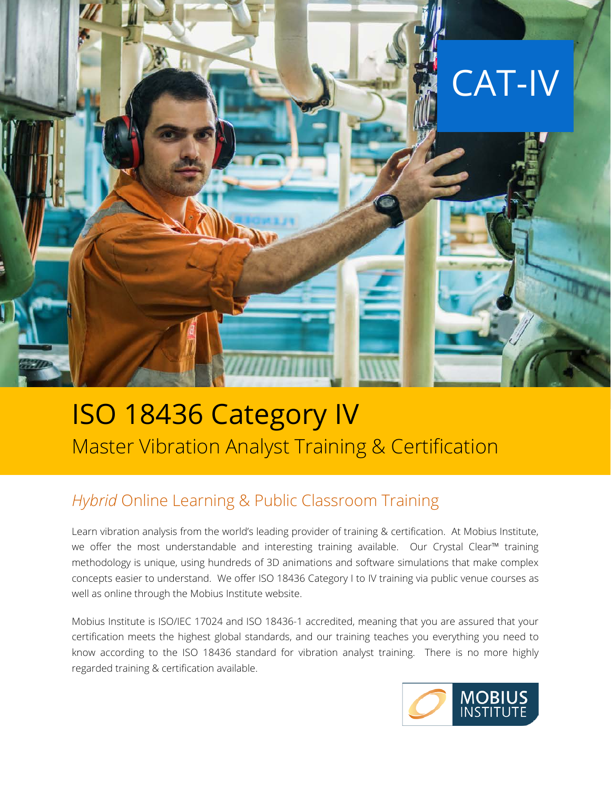

## ISO 18436 Category IV Master Vibration Analyst Training & Certification

### *Hybrid* Online Learning & Public Classroom Training

Learn vibration analysis from the world's leading provider of training & certification. At Mobius Institute, we offer the most understandable and interesting training available. Our Crystal Clear™ training methodology is unique, using hundreds of 3D animations and software simulations that make complex concepts easier to understand. We offer ISO 18436 Category I to IV training via public venue courses as well as online through the Mobius Institute website.

Mobius Institute is ISO/IEC 17024 and ISO 18436-1 accredited, meaning that you are assured that your certification meets the highest global standards, and our training teaches you everything you need to know according to the ISO 18436 standard for vibration analyst training. There is no more highly regarded training & certification available.

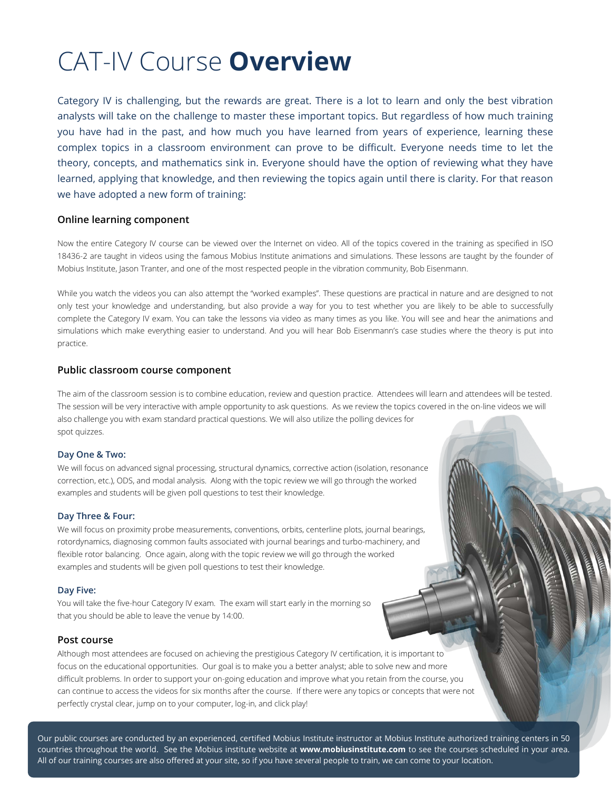# CAT-IV Course **Overview**

Category IV is challenging, but the rewards are great. There is a lot to learn and only the best vibration analysts will take on the challenge to master these important topics. But regardless of how much training you have had in the past, and how much you have learned from years of experience, learning these complex topics in a classroom environment can prove to be difficult. Everyone needs time to let the theory, concepts, and mathematics sink in. Everyone should have the option of reviewing what they have learned, applying that knowledge, and then reviewing the topics again until there is clarity. For that reason we have adopted a new form of training:

#### **Online learning component**

Now the entire Category IV course can be viewed over the Internet on video. All of the topics covered in the training as specified in ISO 18436-2 are taught in videos using the famous Mobius Institute animations and simulations. These lessons are taught by the founder of Mobius Institute, Jason Tranter, and one of the most respected people in the vibration community, Bob Eisenmann.

While you watch the videos you can also attempt the "worked examples". These questions are practical in nature and are designed to not only test your knowledge and understanding, but also provide a way for you to test whether you are likely to be able to successfully complete the Category IV exam. You can take the lessons via video as many times as you like. You will see and hear the animations and simulations which make everything easier to understand. And you will hear Bob Eisenmann's case studies where the theory is put into practice.

#### **Public classroom course component**

The aim of the classroom session is to combine education, review and question practice. Attendees will learn and attendees will be tested. The session will be very interactive with ample opportunity to ask questions. As we review the topics covered in the on-line videos we will also challenge you with exam standard practical questions. We will also utilize the polling devices for spot quizzes.

#### **Day One & Two:**

We will focus on advanced signal processing, structural dynamics, corrective action (isolation, resonance correction, etc.), ODS, and modal analysis. Along with the topic review we will go through the worked examples and students will be given poll questions to test their knowledge.

#### **Day Three & Four:**

We will focus on proximity probe measurements, conventions, orbits, centerline plots, journal bearings, rotordynamics, diagnosing common faults associated with journal bearings and turbo-machinery, and flexible rotor balancing. Once again, along with the topic review we will go through the worked examples and students will be given poll questions to test their knowledge.

#### **Day Five:**

You will take the five-hour Category IV exam. The exam will start early in the morning so that you should be able to leave the venue by 14:00.

#### **Post course**

Although most attendees are focused on achieving the prestigious Category IV certification, it is important to focus on the educational opportunities. Our goal is to make you a better analyst; able to solve new and more difficult problems. In order to support your on-going education and improve what you retain from the course, you can continue to access the videos for six months after the course. If there were any topics or concepts that were not perfectly crystal clear, jump on to your computer, log-in, and click play!

Our public courses are conducted by an experienced, certified Mobius Institute instructor at Mobius Institute authorized training centers in 50 countries throughout the world. See the Mobius institute website at **www.mobiusinstitute.com** to see the courses scheduled in your area. All of our training courses are also offered at your site, so if you have several people to train, we can come to your location.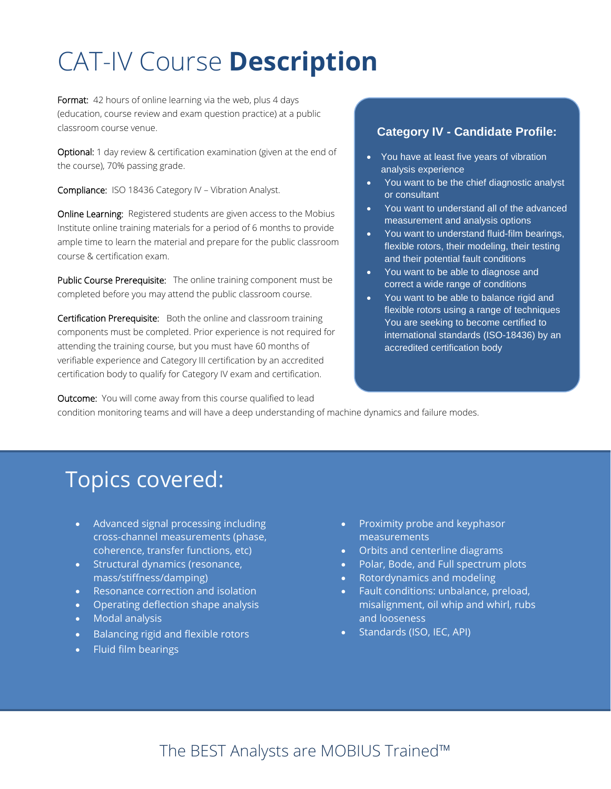# CAT-IV Course **Description**

Format: 42 hours of online learning via the web, plus 4 days (education, course review and exam question practice) at a public classroom course venue.

Optional: 1 day review & certification examination (given at the end of the course), 70% passing grade.

Compliance: ISO 18436 Category IV – Vibration Analyst.

Online Learning: Registered students are given access to the Mobius Institute online training materials for a period of 6 months to provide ample time to learn the material and prepare for the public classroom course & certification exam.

Public Course Prerequisite: The online training component must be completed before you may attend the public classroom course.

Certification Prerequisite: Both the online and classroom training components must be completed. Prior experience is not required for attending the training course, but you must have 60 months of verifiable experience and Category III certification by an accredited certification body to qualify for Category IV exam and certification.

#### **Category IV - Candidate Profile:**

- You have at least five years of vibration analysis experience
- You want to be the chief diagnostic analyst or consultant
- You want to understand all of the advanced measurement and analysis options
- You want to understand fluid-film bearings, flexible rotors, their modeling, their testing and their potential fault conditions
- You want to be able to diagnose and correct a wide range of conditions
- You want to be able to balance rigid and flexible rotors using a range of techniques You are seeking to become certified to international standards (ISO-18436) by an accredited certification body

**Outcome:** You will come away from this course qualified to lead

condition monitoring teams and will have a deep understanding of machine dynamics and failure modes.

### Topics covered:

- Advanced signal processing including cross-channel measurements (phase, coherence, transfer functions, etc)
- Structural dynamics (resonance, mass/stiffness/damping)
- Resonance correction and isolation
- Operating deflection shape analysis
- Modal analysis
- Balancing rigid and flexible rotors
- Fluid film bearings
- Proximity probe and keyphasor measurements
- Orbits and centerline diagrams
- Polar, Bode, and Full spectrum plots
- Rotordynamics and modeling
- Fault conditions: unbalance, preload, misalignment, oil whip and whirl, rubs and looseness
- Standards (ISO, IEC, API)

### The BEST Analysts are MOBIUS Trained™